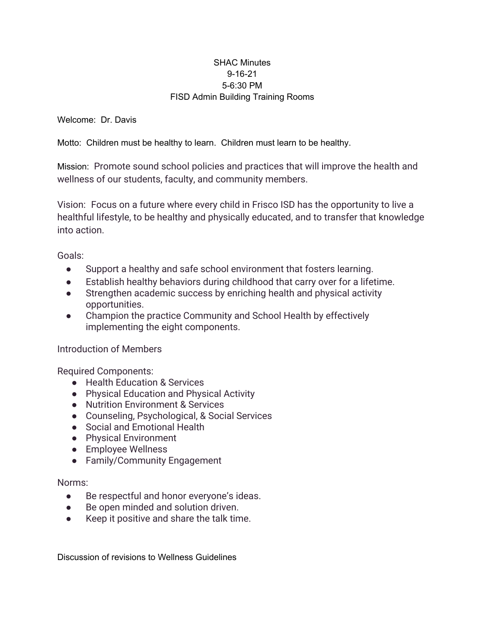## SHAC Minutes 9-16-21 5-6:30 PM FISD Admin Building Training Rooms

Welcome: Dr. Davis

Motto: Children must be healthy to learn. Children must learn to be healthy.

Mission: Promote sound school policies and practices that will improve the health and wellness of our students, faculty, and community members.

Vision: Focus on a future where every child in Frisco ISD has the opportunity to live a healthful lifestyle, to be healthy and physically educated, and to transfer that knowledge into action.

Goals:

- Support a healthy and safe school environment that fosters learning.
- Establish healthy behaviors during childhood that carry over for a lifetime.
- Strengthen academic success by enriching health and physical activity opportunities.
- Champion the practice Community and School Health by effectively implementing the eight components.

## Introduction of Members

Required Components:

- Health Education & Services
- Physical Education and Physical Activity
- Nutrition Environment & Services
- Counseling, Psychological, & Social Services
- Social and Emotional Health
- Physical Environment
- Employee Wellness
- Family/Community Engagement

## Norms:

- Be respectful and honor everyone's ideas.
- Be open minded and solution driven.
- Keep it positive and share the talk time.

Discussion of revisions to Wellness Guidelines